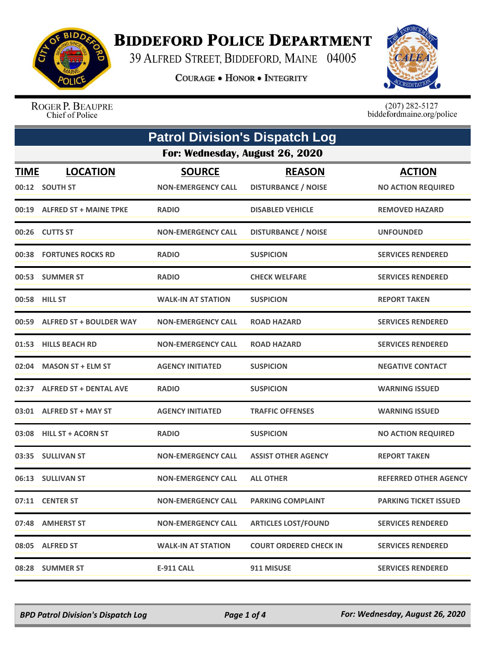

## **BIDDEFORD POLICE DEPARTMENT**

39 ALFRED STREET, BIDDEFORD, MAINE 04005

**COURAGE . HONOR . INTEGRITY** 



ROGER P. BEAUPRE Chief of Police

 $(207)$  282-5127<br>biddefordmaine.org/police

| <b>Patrol Division's Dispatch Log</b> |                               |                           |                               |                              |
|---------------------------------------|-------------------------------|---------------------------|-------------------------------|------------------------------|
| For: Wednesday, August 26, 2020       |                               |                           |                               |                              |
| <u>TIME</u>                           | <b>LOCATION</b>               | <b>SOURCE</b>             | <b>REASON</b>                 | <b>ACTION</b>                |
|                                       | 00:12 SOUTH ST                | <b>NON-EMERGENCY CALL</b> | <b>DISTURBANCE / NOISE</b>    | <b>NO ACTION REQUIRED</b>    |
|                                       | 00:19 ALFRED ST + MAINE TPKE  | <b>RADIO</b>              | <b>DISABLED VEHICLE</b>       | <b>REMOVED HAZARD</b>        |
|                                       | 00:26 CUTTS ST                | <b>NON-EMERGENCY CALL</b> | <b>DISTURBANCE / NOISE</b>    | <b>UNFOUNDED</b>             |
| 00:38                                 | <b>FORTUNES ROCKS RD</b>      | <b>RADIO</b>              | <b>SUSPICION</b>              | <b>SERVICES RENDERED</b>     |
|                                       | 00:53 SUMMER ST               | <b>RADIO</b>              | <b>CHECK WELFARE</b>          | <b>SERVICES RENDERED</b>     |
|                                       | 00:58 HILL ST                 | <b>WALK-IN AT STATION</b> | <b>SUSPICION</b>              | <b>REPORT TAKEN</b>          |
|                                       | 00:59 ALFRED ST + BOULDER WAY | <b>NON-EMERGENCY CALL</b> | <b>ROAD HAZARD</b>            | <b>SERVICES RENDERED</b>     |
|                                       | 01:53 HILLS BEACH RD          | <b>NON-EMERGENCY CALL</b> | <b>ROAD HAZARD</b>            | <b>SERVICES RENDERED</b>     |
|                                       | 02:04 MASON ST + ELM ST       | <b>AGENCY INITIATED</b>   | <b>SUSPICION</b>              | <b>NEGATIVE CONTACT</b>      |
|                                       | 02:37 ALFRED ST + DENTAL AVE  | <b>RADIO</b>              | <b>SUSPICION</b>              | <b>WARNING ISSUED</b>        |
| 03:01                                 | <b>ALFRED ST + MAY ST</b>     | <b>AGENCY INITIATED</b>   | <b>TRAFFIC OFFENSES</b>       | <b>WARNING ISSUED</b>        |
|                                       | 03:08 HILL ST + ACORN ST      | <b>RADIO</b>              | <b>SUSPICION</b>              | <b>NO ACTION REQUIRED</b>    |
|                                       | 03:35 SULLIVAN ST             | <b>NON-EMERGENCY CALL</b> | <b>ASSIST OTHER AGENCY</b>    | <b>REPORT TAKEN</b>          |
|                                       | 06:13 SULLIVAN ST             | <b>NON-EMERGENCY CALL</b> | <b>ALL OTHER</b>              | <b>REFERRED OTHER AGENCY</b> |
|                                       | 07:11 CENTER ST               | <b>NON-EMERGENCY CALL</b> | <b>PARKING COMPLAINT</b>      | <b>PARKING TICKET ISSUED</b> |
|                                       | 07:48 AMHERST ST              | <b>NON-EMERGENCY CALL</b> | <b>ARTICLES LOST/FOUND</b>    | <b>SERVICES RENDERED</b>     |
|                                       | 08:05 ALFRED ST               | <b>WALK-IN AT STATION</b> | <b>COURT ORDERED CHECK IN</b> | <b>SERVICES RENDERED</b>     |
|                                       | 08:28 SUMMER ST               | <b>E-911 CALL</b>         | 911 MISUSE                    | <b>SERVICES RENDERED</b>     |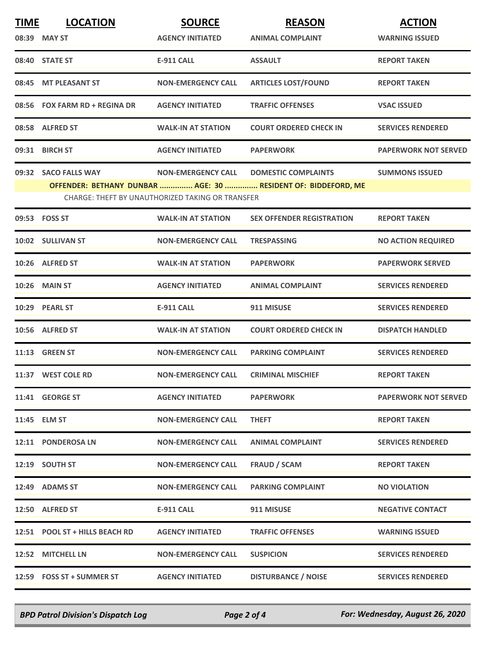| <b>TIME</b> | <b>LOCATION</b>                | <b>SOURCE</b>                                    | <b>REASON</b>                                                 | <b>ACTION</b>               |
|-------------|--------------------------------|--------------------------------------------------|---------------------------------------------------------------|-----------------------------|
|             | 08:39 MAY ST                   | <b>AGENCY INITIATED</b>                          | <b>ANIMAL COMPLAINT</b>                                       | <b>WARNING ISSUED</b>       |
|             | 08:40 STATE ST                 | <b>E-911 CALL</b>                                | <b>ASSAULT</b>                                                | <b>REPORT TAKEN</b>         |
|             | 08:45 MT PLEASANT ST           | <b>NON-EMERGENCY CALL</b>                        | <b>ARTICLES LOST/FOUND</b>                                    | <b>REPORT TAKEN</b>         |
|             | 08:56 FOX FARM RD + REGINA DR  | <b>AGENCY INITIATED</b>                          | <b>TRAFFIC OFFENSES</b>                                       | <b>VSAC ISSUED</b>          |
|             | 08:58 ALFRED ST                | <b>WALK-IN AT STATION</b>                        | <b>COURT ORDERED CHECK IN</b>                                 | <b>SERVICES RENDERED</b>    |
|             | 09:31 BIRCH ST                 | <b>AGENCY INITIATED</b>                          | <b>PAPERWORK</b>                                              | <b>PAPERWORK NOT SERVED</b> |
|             | 09:32 SACO FALLS WAY           | <b>NON-EMERGENCY CALL</b>                        | <b>DOMESTIC COMPLAINTS</b>                                    | <b>SUMMONS ISSUED</b>       |
|             |                                | CHARGE: THEFT BY UNAUTHORIZED TAKING OR TRANSFER | OFFENDER: BETHANY DUNBAR  AGE: 30  RESIDENT OF: BIDDEFORD, ME |                             |
|             |                                |                                                  |                                                               |                             |
|             | 09:53 FOSS ST                  | <b>WALK-IN AT STATION</b>                        | <b>SEX OFFENDER REGISTRATION</b>                              | <b>REPORT TAKEN</b>         |
|             | 10:02 SULLIVAN ST              | <b>NON-EMERGENCY CALL</b>                        | <b>TRESPASSING</b>                                            | <b>NO ACTION REQUIRED</b>   |
|             | 10:26 ALFRED ST                | <b>WALK-IN AT STATION</b>                        | <b>PAPERWORK</b>                                              | <b>PAPERWORK SERVED</b>     |
|             | <b>10:26 MAIN ST</b>           | <b>AGENCY INITIATED</b>                          | <b>ANIMAL COMPLAINT</b>                                       | <b>SERVICES RENDERED</b>    |
|             | 10:29 PEARL ST                 | <b>E-911 CALL</b>                                | 911 MISUSE                                                    | <b>SERVICES RENDERED</b>    |
|             | 10:56 ALFRED ST                | <b>WALK-IN AT STATION</b>                        | <b>COURT ORDERED CHECK IN</b>                                 | <b>DISPATCH HANDLED</b>     |
|             | <b>11:13 GREEN ST</b>          | <b>NON-EMERGENCY CALL</b>                        | <b>PARKING COMPLAINT</b>                                      | <b>SERVICES RENDERED</b>    |
|             | 11:37 WEST COLE RD             | <b>NON-EMERGENCY CALL</b>                        | <b>CRIMINAL MISCHIEF</b>                                      | <b>REPORT TAKEN</b>         |
|             | 11:41 GEORGE ST                | <b>AGENCY INITIATED</b>                          | <b>PAPERWORK</b>                                              | <b>PAPERWORK NOT SERVED</b> |
|             | 11:45 ELM ST                   | <b>NON-EMERGENCY CALL</b>                        | <b>THEFT</b>                                                  | <b>REPORT TAKEN</b>         |
|             | 12:11 PONDEROSA LN             | <b>NON-EMERGENCY CALL</b>                        | <b>ANIMAL COMPLAINT</b>                                       | <b>SERVICES RENDERED</b>    |
|             | 12:19 SOUTH ST                 | <b>NON-EMERGENCY CALL</b>                        | <b>FRAUD / SCAM</b>                                           | <b>REPORT TAKEN</b>         |
|             | 12:49 ADAMS ST                 | <b>NON-EMERGENCY CALL</b>                        | <b>PARKING COMPLAINT</b>                                      | <b>NO VIOLATION</b>         |
|             | 12:50 ALFRED ST                | E-911 CALL                                       | 911 MISUSE                                                    | <b>NEGATIVE CONTACT</b>     |
|             | 12:51 POOL ST + HILLS BEACH RD | <b>AGENCY INITIATED</b>                          | <b>TRAFFIC OFFENSES</b>                                       | <b>WARNING ISSUED</b>       |
|             | 12:52 MITCHELL LN              | <b>NON-EMERGENCY CALL</b>                        | <b>SUSPICION</b>                                              | <b>SERVICES RENDERED</b>    |
|             | 12:59 FOSS ST + SUMMER ST      | <b>AGENCY INITIATED</b>                          | <b>DISTURBANCE / NOISE</b>                                    | <b>SERVICES RENDERED</b>    |

*BPD Patrol Division's Dispatch Log Page 2 of 4 For: Wednesday, August 26, 2020*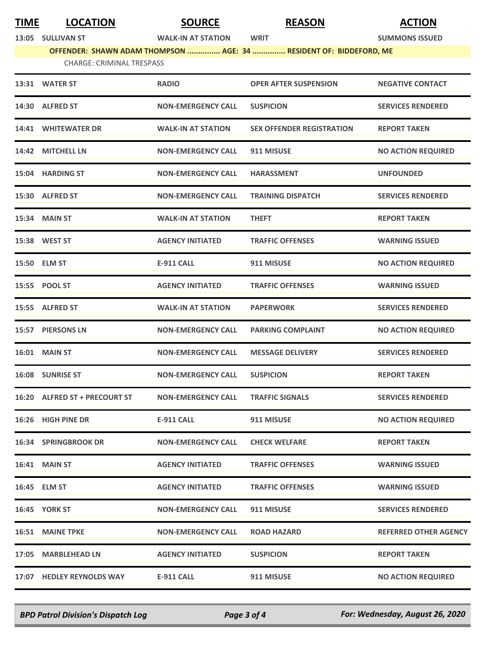| <b>TIME</b> | <b>LOCATION</b>                  | <b>SOURCE</b>             | <b>REASON</b>                                                      | <b>ACTION</b>             |
|-------------|----------------------------------|---------------------------|--------------------------------------------------------------------|---------------------------|
|             | 13:05 SULLIVAN ST                | <b>WALK-IN AT STATION</b> | <b>WRIT</b>                                                        | <b>SUMMONS ISSUED</b>     |
|             |                                  |                           | OFFENDER: SHAWN ADAM THOMPSON  AGE: 34  RESIDENT OF: BIDDEFORD, ME |                           |
|             | <b>CHARGE: CRIMINAL TRESPASS</b> |                           |                                                                    |                           |
|             | 13:31 WATER ST                   | <b>RADIO</b>              | <b>OPER AFTER SUSPENSION</b>                                       | <b>NEGATIVE CONTACT</b>   |
|             | 14:30 ALFRED ST                  | <b>NON-EMERGENCY CALL</b> | <b>SUSPICION</b>                                                   | <b>SERVICES RENDERED</b>  |
|             | <b>14:41 WHITEWATER DR</b>       | <b>WALK-IN AT STATION</b> | <b>SEX OFFENDER REGISTRATION</b>                                   | <b>REPORT TAKEN</b>       |
| 14:42       | <b>MITCHELL LN</b>               | <b>NON-EMERGENCY CALL</b> | 911 MISUSE                                                         | <b>NO ACTION REQUIRED</b> |
|             | 15:04 HARDING ST                 | <b>NON-EMERGENCY CALL</b> | <b>HARASSMENT</b>                                                  | <b>UNFOUNDED</b>          |
|             | 15:30 ALFRED ST                  | <b>NON-EMERGENCY CALL</b> | <b>TRAINING DISPATCH</b>                                           | <b>SERVICES RENDERED</b>  |
|             | 15:34 MAIN ST                    | <b>WALK-IN AT STATION</b> | <b>THEFT</b>                                                       | <b>REPORT TAKEN</b>       |
|             | 15:38 WEST ST                    | <b>AGENCY INITIATED</b>   | <b>TRAFFIC OFFENSES</b>                                            | <b>WARNING ISSUED</b>     |
|             | 15:50 ELM ST                     | <b>E-911 CALL</b>         | 911 MISUSE                                                         | <b>NO ACTION REQUIRED</b> |
|             | 15:55 POOL ST                    | <b>AGENCY INITIATED</b>   | <b>TRAFFIC OFFENSES</b>                                            | <b>WARNING ISSUED</b>     |
|             | 15:55 ALFRED ST                  | <b>WALK-IN AT STATION</b> | <b>PAPERWORK</b>                                                   | <b>SERVICES RENDERED</b>  |
|             | 15:57 PIERSONS LN                | <b>NON-EMERGENCY CALL</b> | <b>PARKING COMPLAINT</b>                                           | <b>NO ACTION REQUIRED</b> |
|             | <b>16:01 MAIN ST</b>             | <b>NON-EMERGENCY CALL</b> | <b>MESSAGE DELIVERY</b>                                            | <b>SERVICES RENDERED</b>  |
|             |                                  |                           |                                                                    |                           |

| 16:08 | <b>SUNRISE ST</b>              | <b>NON-EMERGENCY CALL</b> | <b>SUSPICION</b>        | <b>REPORT TAKEN</b>          |
|-------|--------------------------------|---------------------------|-------------------------|------------------------------|
| 16:20 | <b>ALFRED ST + PRECOURT ST</b> | <b>NON-EMERGENCY CALL</b> | <b>TRAFFIC SIGNALS</b>  | <b>SERVICES RENDERED</b>     |
| 16:26 | <b>HIGH PINE DR</b>            | <b>E-911 CALL</b>         | 911 MISUSE              | <b>NO ACTION REQUIRED</b>    |
|       | <b>16:34 SPRINGBROOK DR</b>    | <b>NON-EMERGENCY CALL</b> | <b>CHECK WELFARE</b>    | <b>REPORT TAKEN</b>          |
|       | <b>16:41 MAIN ST</b>           | <b>AGENCY INITIATED</b>   | <b>TRAFFIC OFFENSES</b> | <b>WARNING ISSUED</b>        |
|       | 16:45 ELM ST                   | <b>AGENCY INITIATED</b>   | <b>TRAFFIC OFFENSES</b> | <b>WARNING ISSUED</b>        |
|       | <b>16:45 YORK ST</b>           | <b>NON-EMERGENCY CALL</b> | 911 MISUSE              | <b>SERVICES RENDERED</b>     |
|       | <b>16:51 MAINE TPKE</b>        | <b>NON-EMERGENCY CALL</b> | <b>ROAD HAZARD</b>      | <b>REFERRED OTHER AGENCY</b> |
| 17:05 | <b>MARBLEHEAD LN</b>           | <b>AGENCY INITIATED</b>   | <b>SUSPICION</b>        | <b>REPORT TAKEN</b>          |
| 17:07 | <b>HEDLEY REYNOLDS WAY</b>     | <b>E-911 CALL</b>         | 911 MISUSE              | <b>NO ACTION REQUIRED</b>    |

*BPD Patrol Division's Dispatch Log Page 3 of 4 For: Wednesday, August 26, 2020*